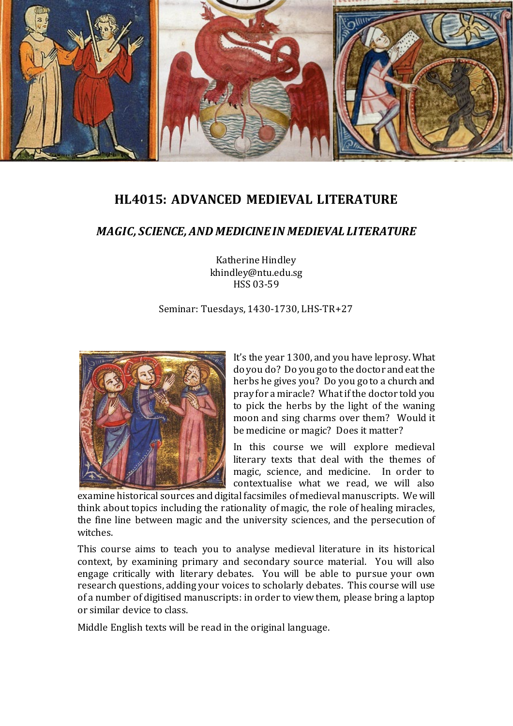

# **HL4015: ADVANCED MEDIEVAL LITERATURE**

# *MAGIC, SCIENCE, AND MEDICINE IN MEDIEVAL LITERATURE*

Katherine Hindley khindley@ntu.edu.sg HSS 03-59

#### Seminar: Tuesdays, 1430-1730, LHS-TR+27



It's the year 1300, and you have leprosy. What do you do? Do you go to the doctor and eat the herbs he gives you? Do you go to a church and pray for a miracle? What if the doctor told you to pick the herbs by the light of the waning moon and sing charms over them? Would it be medicine or magic? Does it matter?

In this course we will explore medieval literary texts that deal with the themes of magic, science, and medicine. In order to contextualise what we read, we will also

examine historical sources and digital facsimiles of medieval manuscripts. We will think about topics including the rationality of magic, the role of healing miracles, the fine line between magic and the university sciences, and the persecution of witches.

This course aims to teach you to analyse medieval literature in its historical context, by examining primary and secondary source material. You will also engage critically with literary debates. You will be able to pursue your own research questions, adding your voices to scholarly debates. This course will use of a number of digitised manuscripts: in order to view them, please bring a laptop or similar device to class.

Middle English texts will be read in the original language.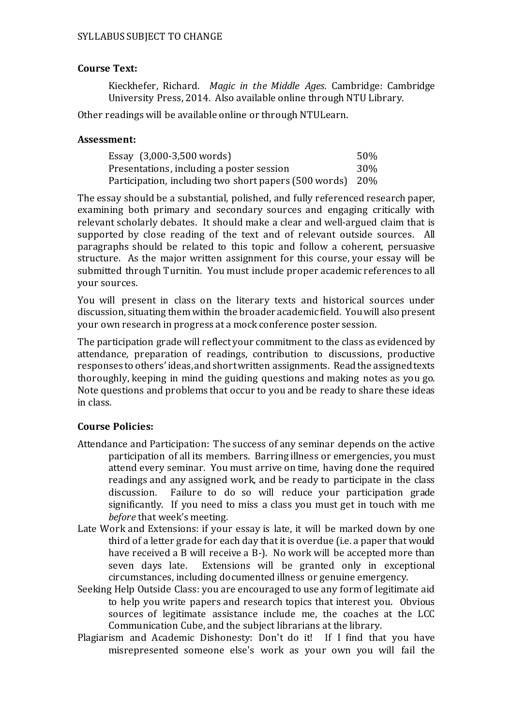## **Course Text:**

Kieckhefer, Richard. *Magic in the Middle Ages*. Cambridge: Cambridge University Press, 2014. Also available online through NTU Library.

Other readings will be available online or through NTULearn.

### **Assessment:**

| Essay (3,000-3,500 words)                                 | .50% |
|-----------------------------------------------------------|------|
| Presentations, including a poster session                 | 30%  |
| Participation, including two short papers (500 words) 20% |      |

The essay should be a substantial, polished, and fully referenced research paper, examining both primary and secondary sources and engaging critically with relevant scholarly debates. It should make a clear and well-argued claim that is supported by close reading of the text and of relevant outside sources. All paragraphs should be related to this topic and follow a coherent, persuasive structure. As the major written assignment for this course, your essay will be submitted through Turnitin. You must include proper academic references to all your sources.

You will present in class on the literary texts and historical sources under discussion, situating them within the broader academic field. You will also present your own research in progress at a mock conference poster session.

The participation grade will reflect your commitment to the class as evidenced by attendance, preparation of readings, contribution to discussions, productive responses to others' ideas, and short written assignments. Read the assigned texts thoroughly, keeping in mind the guiding questions and making notes as you go. Note questions and problems that occur to you and be ready to share these ideas in class.

## **Course Policies:**

- Attendance and Participation: The success of any seminar depends on the active participation of all its members. Barring illness or emergencies, you must attend every seminar. You must arrive on time, having done the required readings and any assigned work, and be ready to participate in the class discussion. Failure to do so will reduce your participation grade Failure to do so will reduce your participation grade significantly. If you need to miss a class you must get in touch with me *before* that week's meeting.
- Late Work and Extensions: if your essay is late, it will be marked down by one third of a letter grade for each day that it is overdue (i.e. a paper that would have received a B will receive a B-). No work will be accepted more than seven days late. Extensions will be granted only in exceptional Extensions will be granted only in exceptional circumstances, including documented illness or genuine emergency.
- Seeking Help Outside Class: you are encouraged to use any form of legitimate aid to help you write papers and research topics that interest you. Obvious sources of legitimate assistance include me, the coaches at the LCC Communication Cube, and the subject librarians at the library.
- Plagiarism and Academic Dishonesty: Don't do it! If I find that you have misrepresented someone else's work as your own you will fail the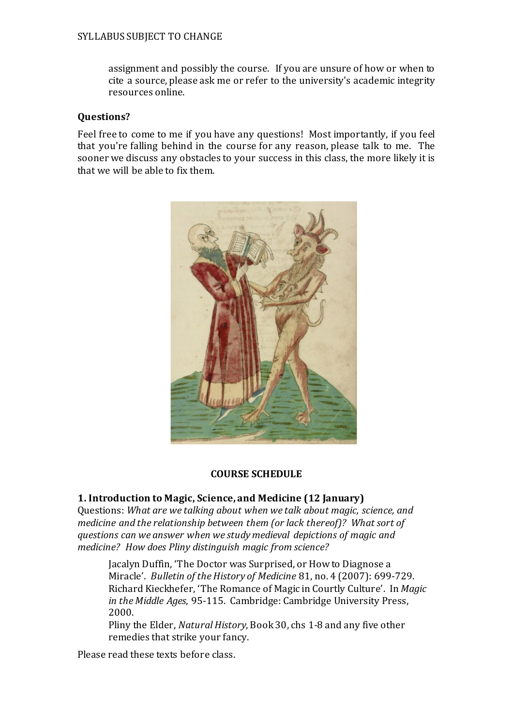assignment and possibly the course. If you are unsure of how or when to cite a source, please ask me or refer to the university's academic integrity resources online.

### **Questions?**

Feel free to come to me if you have any questions! Most importantly, if you feel that you're falling behind in the course for any reason, please talk to me. The sooner we discuss any obstacles to your success in this class, the more likely it is that we will be able to fix them.



## **COURSE SCHEDULE**

## **1. Introduction to Magic, Science, and Medicine (12 January)**

Questions: *What are we talking about when we talk about magic, science, and medicine and the relationship between them (or lack thereof)? What sort of questions can we answer when we study medieval depictions of magic and medicine? How does Pliny distinguish magic from science?*

Jacalyn Duffin, 'The Doctor was Surprised, or How to Diagnose a Miracle'. *Bulletin of the History of Medicine* 81, no. 4 (2007): 699-729. Richard Kieckhefer, 'The Romance of Magic in Courtly Culture'. In *Magic in the Middle Ages*, 95-115. Cambridge: Cambridge University Press, 2000.

Pliny the Elder, *Natural History*, Book 30, chs 1-8 and any five other remedies that strike your fancy.

Please read these texts before class.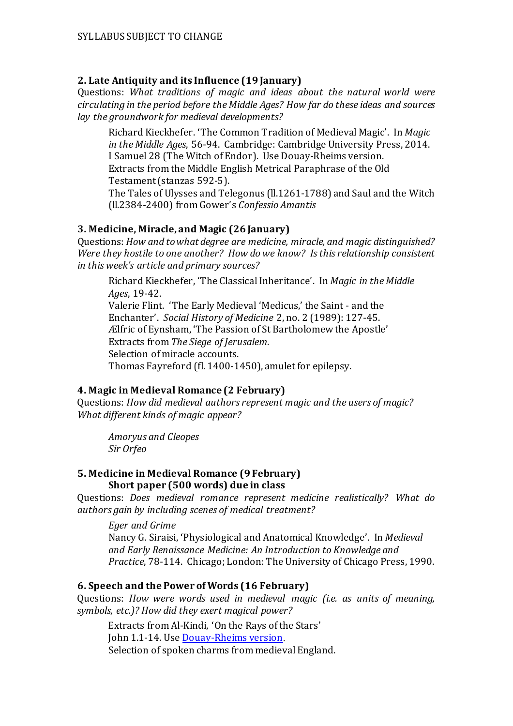# **2. Late Antiquity and its Influence (19 January)**

Questions: *What traditions of magic and ideas about the natural world were circulating in the period before the Middle Ages? How far do these ideas and sources lay the groundwork for medieval developments?* 

Richard Kieckhefer. 'The Common Tradition of Medieval Magic'. In *Magic in the Middle Ages*, 56-94. Cambridge: Cambridge University Press, 2014. I Samuel 28 (The Witch of Endor). Use Douay-Rheims version. Extracts from the Middle English Metrical Paraphrase of the Old Testament(stanzas 592-5).

The Tales of Ulysses and Telegonus (ll.1261-1788) and Saul and the Witch (ll.2384-2400) from Gower's *Confessio Amantis*

# **3. Medicine, Miracle, and Magic (26 January)**

Questions: *How and to what degree are medicine, miracle, and magic distinguished? Were they hostile to one another? How do we know? Is this relationship consistent in this week's article and primary sources?* 

Richard Kieckhefer, 'The Classical Inheritance'. In *Magic in the Middle Ages*, 19-42. Valerie Flint. 'The Early Medieval 'Medicus,' the Saint - and the Enchanter'. *Social History of Medicine* 2, no. 2 (1989): 127-45. Ælfric of Eynsham, 'The Passion of St Bartholomew the Apostle' Extracts from *The Siege of Jerusalem*. Selection of miracle accounts. Thomas Fayreford (fl. 1400-1450), amulet for epilepsy.

# **4. Magic in Medieval Romance (2 February)**

Questions: *How did medieval authors represent magic and the users of magic? What different kinds of magic appear?*

*Amoryus and Cleopes Sir Orfeo*

#### **5. Medicine in Medieval Romance (9 February) Short paper (500 words) due in class**

Questions: *Does medieval romance represent medicine realistically? What do authors gain by including scenes of medical treatment?*

*Eger and Grime*

Nancy G. Siraisi, 'Physiological and Anatomical Knowledge'. In *Medieval and Early Renaissance Medicine: An Introduction to Knowledge and Practice*, 78-114. Chicago; London: The University of Chicago Press, 1990.

# **6. Speech and the Power of Words (16 February)**

Questions: *How were words used in medieval magic (i.e. as units of meaning, symbols, etc.)? How did they exert magical power?* 

Extracts from Al-Kindi, 'On the Rays of the Stars' John 1.1-14. Use [Douay-Rheims version.](http://www.drbo.org/) Selection of spoken charms from medieval England.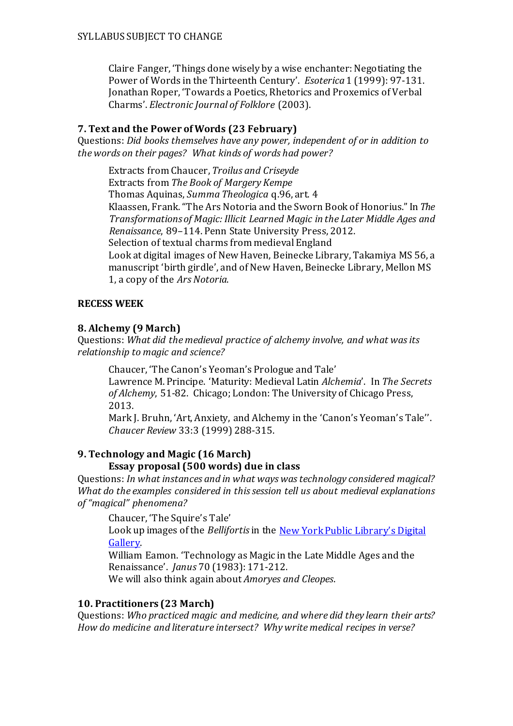Claire Fanger, 'Things done wisely by a wise enchanter: Negotiating the Power of Words in the Thirteenth Century'. *Esoterica* 1 (1999): 97-131. Jonathan Roper, 'Towards a Poetics, Rhetorics and Proxemics of Verbal Charms'. *Electronic Journal of Folklore* (2003).

## **7. Text and the Power of Words (23 February)**

Questions: *Did books themselves have any power, independent of or in addition to the words on their pages? What kinds of words had power?*

Extracts from Chaucer, *Troilus and Criseyde* Extracts from *The Book of Margery Kempe* Thomas Aquinas, *Summa Theologica* q.96, art. 4 Klaassen, Frank. "The Ars Notoria and the Sworn Book of Honorius." In *The Transformations of Magic: Illicit Learned Magic in the Later Middle Ages and Renaissance*, 89–114. Penn State University Press, 2012. Selection of textual charms from medieval England Look at digital images of New Haven, Beinecke Library, Takamiya MS 56, a manuscript 'birth girdle', and of New Haven, Beinecke Library, Mellon MS 1, a copy of the *Ars Notoria*.

# **RECESS WEEK**

# **8. Alchemy (9 March)**

Questions: *What did the medieval practice of alchemy involve, and what was its relationship to magic and science?* 

Chaucer, 'The Canon's Yeoman's Prologue and Tale' Lawrence M. Principe. 'Maturity: Medieval Latin *Alchemia*'. In *The Secrets of Alchemy*, 51-82. Chicago; London: The University of Chicago Press, 2013.

Mark J. Bruhn, 'Art, Anxiety, and Alchemy in the 'Canon's Yeoman's Tale''. *Chaucer Review* 33:3 (1999) 288-315.

## **9. Technology and Magic (16 March) Essay proposal (500 words) due in class**

Questions: *In what instances and in what ways was technology considered magical? What do the examples considered in this session tell us about medieval explanations of "magical" phenomena?* 

Chaucer, 'The Squire's Tale'

Look up images of the *Bellifortis*in the [New York Public Library's Digital](http://digitalgallery.nypl.org/)  [Gallery.](http://digitalgallery.nypl.org/) 

William Eamon. 'Technology as Magic in the Late Middle Ages and the Renaissance'. *Janus* 70 (1983): 171-212.

We will also think again about *Amoryes and Cleopes*.

## **10. Practitioners (23 March)**

Questions: *Who practiced magic and medicine, and where did they learn their arts? How do medicine and literature intersect? Why write medical recipes in verse?*